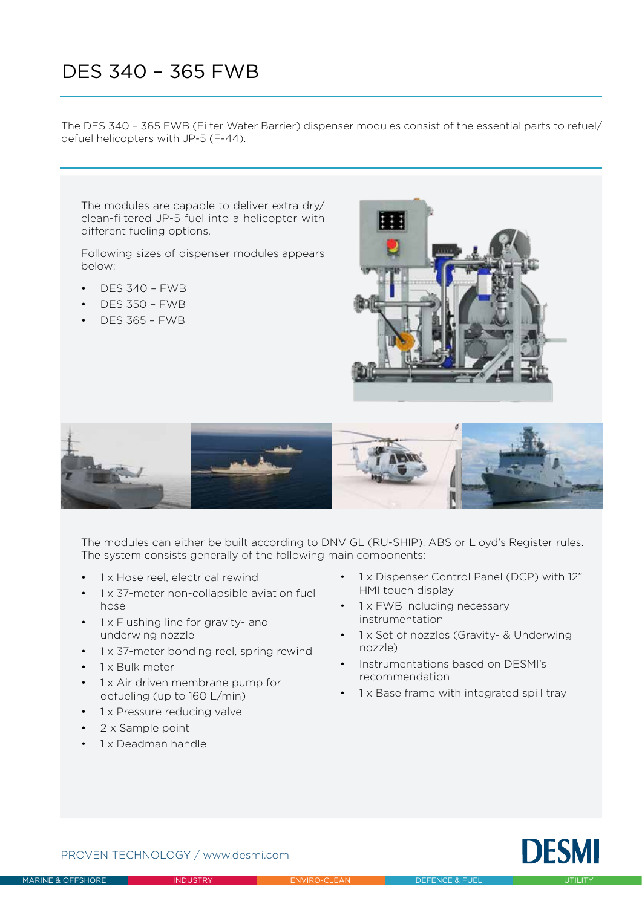# DES 340 – 365 FWB

The DES 340 – 365 FWB (Filter Water Barrier) dispenser modules consist of the essential parts to refuel/ defuel helicopters with JP-5 (F-44).

The modules are capable to deliver extra dry/ clean-filtered JP-5 fuel into a helicopter with different fueling options.

Following sizes of dispenser modules appears below:

- DES 340 FWB
- DES 350 FWB
- DES 365 FWB





The modules can either be built according to DNV GL (RU-SHIP), ABS or Lloyd's Register rules. The system consists generally of the following main components:

- 1 x Hose reel, electrical rewind
- 1 x 37-meter non-collapsible aviation fuel hose
- 1 x Flushing line for gravity- and underwing nozzle
- 1 x 37-meter bonding reel, spring rewind
- $\cdot$  1 x Bulk meter
- 1 x Air driven membrane pump for defueling (up to 160 L/min)
- 1 x Pressure reducing valve
- 2 x Sample point
- 1 x Deadman handle
- 1 x Dispenser Control Panel (DCP) with 12" HMI touch display
- 1 x FWB including necessary instrumentation
- 1 x Set of nozzles (Gravity- & Underwing nozzle)
- Instrumentations based on DESMI's recommendation
- 1 x Base frame with integrated spill tray



PROVEN TECHNOLOGY / www.desmi.com